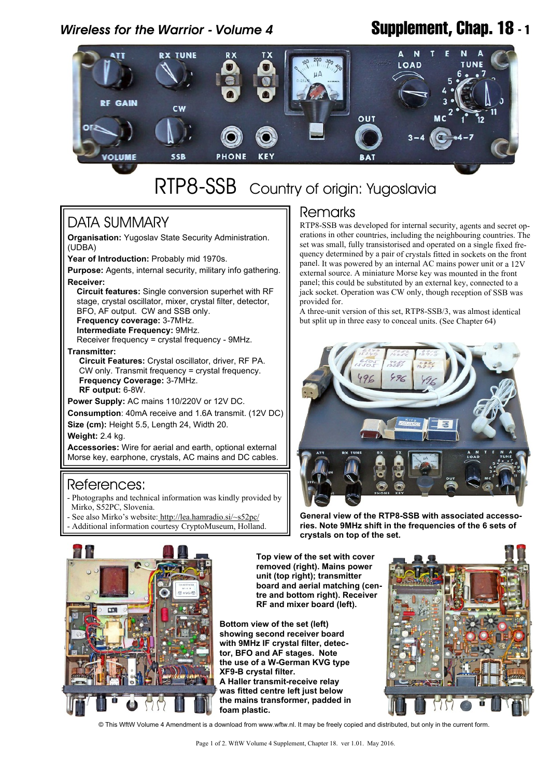# *Wireless for the Warrior - Volume 4* **Supplement, Chap. 18 - 1**



# RTP8-SSB Country of origin: Yugoslavia

# DATA SUMMARY

**Organisation:** Yugoslav State Security Administration. (UDBA)

**Year of Introduction:** Probably mid 1970s.

**Purpose:** Agents, internal security, military info gathering. **Receiver:**

 **Circuit features:** Single conversion superhet with RF stage, crystal oscillator, mixer, crystal filter, detector, BFO, AF output. CW and SSB only.  **Frequency coverage:** 3-7MHz.

 **Intermediate Frequency:** 9MHz.

Receiver frequency = crystal frequency - 9MHz.

**Transmitter:**

 **Circuit Features:** Crystal oscillator, driver, RF PA. CW only. Transmit frequency = crystal frequency.  **Frequency Coverage:** 3-7MHz.  **RF output:** 6-8W.

**Power Supply:** AC mains 110/220V or 12V DC.

**Consumption**: 40mA receive and 1.6A transmit. (12V DC)

**Size (cm):** Height 5.5, Length 24, Width 20.

**Weight:** 2.4 kg.

**Accessories:** Wire for aerial and earth, optional external Morse key, earphone, crystals, AC mains and DC cables.

### References:

- Photographs and technical information was kindly provided by Mirko, S52PC, Slovenia.

- See also Mirko's website[: http://lea.hamradio.si/~s52pc/](http://lea.hamradio.si/~s52pc/)
- Additional information courtesy CryptoMuseum, Holland.

## **Remarks**

RTP8-SSB was developed for internal security, agents and secret operations in other countries, including the neighbouring countries. The set was small, fully transistorised and operated on a single fixed frequency determined by a pair of crystals fitted in sockets on the front panel. It was powered by an internal AC mains power unit or a 12V external source. A miniature Morse key was mounted in the front panel; this could be substituted by an external key, connected to a jack socket. Operation was CW only, though reception of SSB was provided for.

A three-unit version of this set, RTP8-SSB/3, was almost identical but split up in three easy to conceal units. (See Chapter 64)



**General view of the RTP8-SSB with associated accessories. Note 9MHz shift in the frequencies of the 6 sets of crystals on top of the set.**



**Top view of the set with cover removed (right). Mains power unit (top right); transmitter board and aerial matching (centre and bottom right). Receiver RF and mixer board (left).**

**Bottom view of the set (left) showing second receiver board with 9MHz IF crystal filter, detector, BFO and AF stages. Note the use of a W-German KVG type XF9-B crystal filter. A Haller transmit-receive relay was fitted centre left just below the mains transformer, padded in foam plastic.**



© This WftW Volume 4 Amendment is a download from www.wftw.nl. It may be freely copied and distributed, but only in the current form.